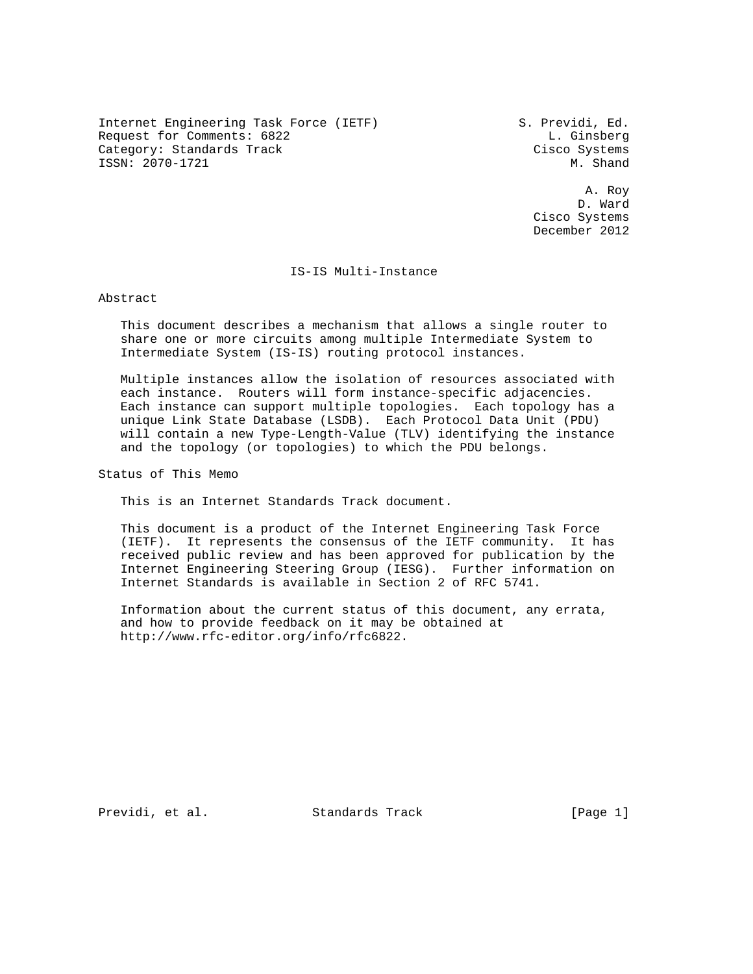Internet Engineering Task Force (IETF) S. Previdi, Ed. Request for Comments: 6822 L. Ginsberg Category: Standards Track Cisco Systems ISSN: 2070-1721 M. Shand

 A. Roy D. Ward Cisco Systems December 2012

#### IS-IS Multi-Instance

Abstract

 This document describes a mechanism that allows a single router to share one or more circuits among multiple Intermediate System to Intermediate System (IS-IS) routing protocol instances.

 Multiple instances allow the isolation of resources associated with each instance. Routers will form instance-specific adjacencies. Each instance can support multiple topologies. Each topology has a unique Link State Database (LSDB). Each Protocol Data Unit (PDU) will contain a new Type-Length-Value (TLV) identifying the instance and the topology (or topologies) to which the PDU belongs.

Status of This Memo

This is an Internet Standards Track document.

 This document is a product of the Internet Engineering Task Force (IETF). It represents the consensus of the IETF community. It has received public review and has been approved for publication by the Internet Engineering Steering Group (IESG). Further information on Internet Standards is available in Section 2 of RFC 5741.

 Information about the current status of this document, any errata, and how to provide feedback on it may be obtained at http://www.rfc-editor.org/info/rfc6822.

Previdi, et al. Standards Track [Page 1]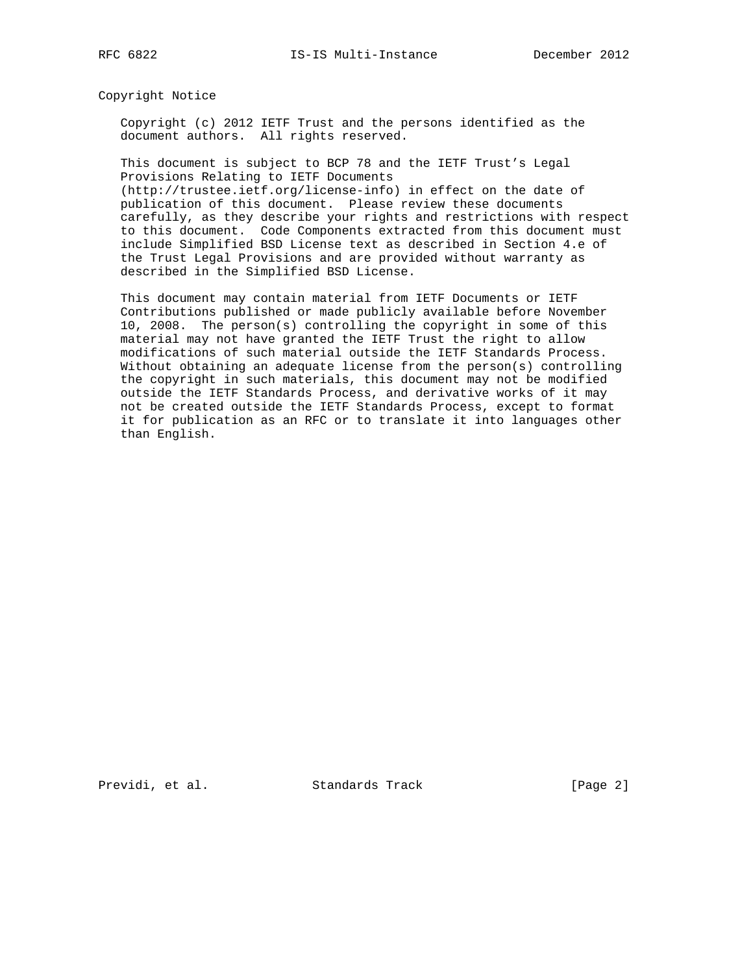Copyright Notice

 Copyright (c) 2012 IETF Trust and the persons identified as the document authors. All rights reserved.

 This document is subject to BCP 78 and the IETF Trust's Legal Provisions Relating to IETF Documents (http://trustee.ietf.org/license-info) in effect on the date of

 publication of this document. Please review these documents carefully, as they describe your rights and restrictions with respect to this document. Code Components extracted from this document must include Simplified BSD License text as described in Section 4.e of the Trust Legal Provisions and are provided without warranty as described in the Simplified BSD License.

 This document may contain material from IETF Documents or IETF Contributions published or made publicly available before November 10, 2008. The person(s) controlling the copyright in some of this material may not have granted the IETF Trust the right to allow modifications of such material outside the IETF Standards Process. Without obtaining an adequate license from the person(s) controlling the copyright in such materials, this document may not be modified outside the IETF Standards Process, and derivative works of it may not be created outside the IETF Standards Process, except to format it for publication as an RFC or to translate it into languages other than English.

Previdi, et al. Standards Track [Page 2]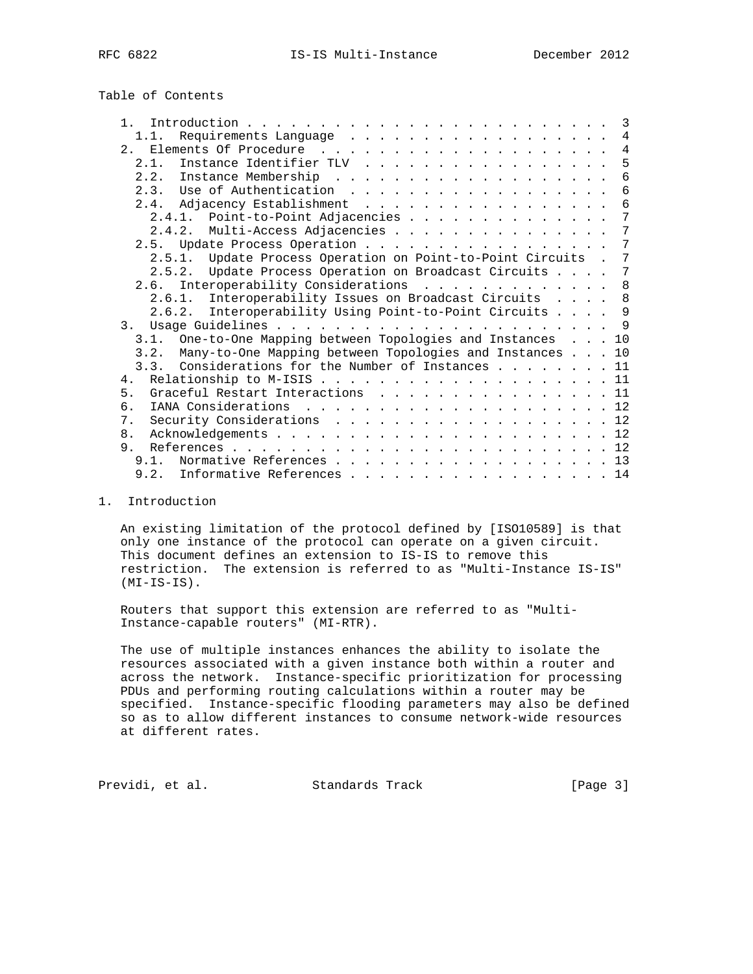Table of Contents

| $\mathbf{1}$                                                 | -3             |
|--------------------------------------------------------------|----------------|
| 1.1.                                                         | 4              |
|                                                              | $\overline{4}$ |
| Instance Identifier TLV<br>2.1.                              | 5              |
|                                                              | 6              |
| Use of Authentication<br>2.3.                                | 6              |
| 2.4. Adjacency Establishment                                 | 6              |
| 2.4.1. Point-to-Point Adjacencies                            | 7              |
| 2.4.2. Multi-Access Adjacencies                              | 7              |
| 2.5. Update Process Operation                                | 7              |
| 2.5.1. Update Process Operation on Point-to-Point Circuits . | 7              |
| 2.5.2. Update Process Operation on Broadcast Circuits        | 7              |
| 2.6. Interoperability Considerations                         | 8 <sup>8</sup> |
| Interoperability Issues on Broadcast Circuits 8<br>2.6.1.    |                |
| Interoperability Using Point-to-Point Circuits 9<br>2.6.2.   |                |
|                                                              | - 9            |
| 3.1. One-to-One Mapping between Topologies and Instances 10  |                |
| 3.2. Many-to-One Mapping between Topologies and Instances 10 |                |
| 3.3. Considerations for the Number of Instances 11           |                |
| 4 <sub>1</sub>                                               |                |
| 5.<br>Graceful Restart Interactions 11                       |                |
| б.                                                           |                |
| Security Considerations 12<br>7 <sup>1</sup>                 |                |
| 8.                                                           |                |
| 9.                                                           |                |
| 9.1. Normative References 13                                 |                |
| 9.2. Informative References 14                               |                |
|                                                              |                |

# 1. Introduction

 An existing limitation of the protocol defined by [ISO10589] is that only one instance of the protocol can operate on a given circuit. This document defines an extension to IS-IS to remove this restriction. The extension is referred to as "Multi-Instance IS-IS" (MI-IS-IS).

 Routers that support this extension are referred to as "Multi- Instance-capable routers" (MI-RTR).

 The use of multiple instances enhances the ability to isolate the resources associated with a given instance both within a router and across the network. Instance-specific prioritization for processing PDUs and performing routing calculations within a router may be specified. Instance-specific flooding parameters may also be defined so as to allow different instances to consume network-wide resources at different rates.

Previdi, et al. Standards Track [Page 3]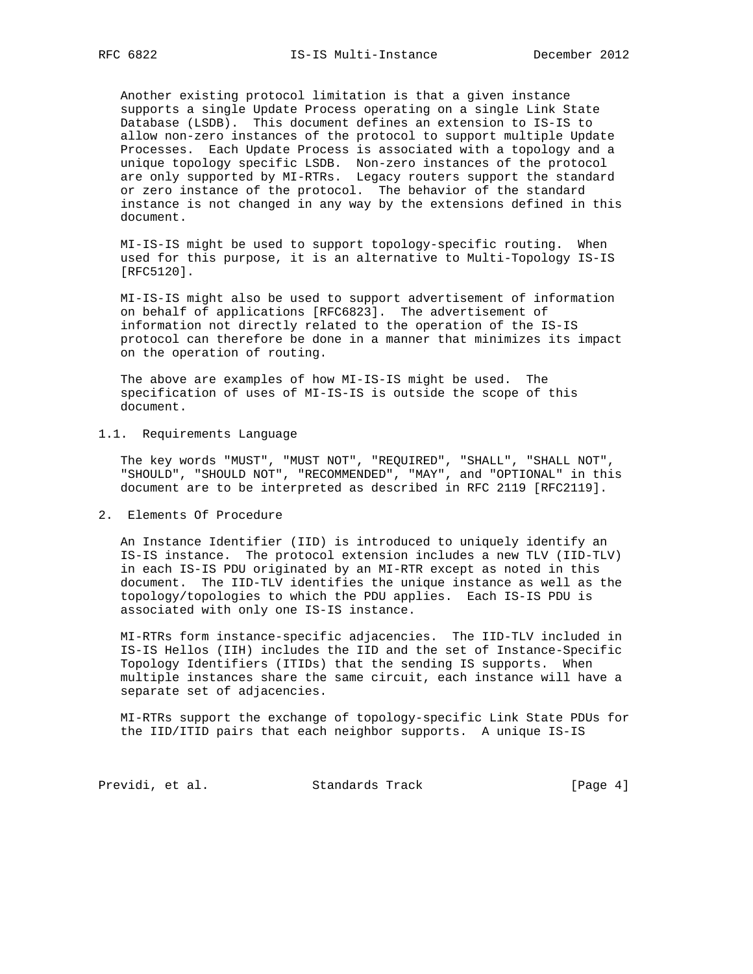Another existing protocol limitation is that a given instance supports a single Update Process operating on a single Link State Database (LSDB). This document defines an extension to IS-IS to allow non-zero instances of the protocol to support multiple Update Processes. Each Update Process is associated with a topology and a unique topology specific LSDB. Non-zero instances of the protocol are only supported by MI-RTRs. Legacy routers support the standard or zero instance of the protocol. The behavior of the standard instance is not changed in any way by the extensions defined in this document.

 MI-IS-IS might be used to support topology-specific routing. When used for this purpose, it is an alternative to Multi-Topology IS-IS [RFC5120].

 MI-IS-IS might also be used to support advertisement of information on behalf of applications [RFC6823]. The advertisement of information not directly related to the operation of the IS-IS protocol can therefore be done in a manner that minimizes its impact on the operation of routing.

 The above are examples of how MI-IS-IS might be used. The specification of uses of MI-IS-IS is outside the scope of this document.

# 1.1. Requirements Language

 The key words "MUST", "MUST NOT", "REQUIRED", "SHALL", "SHALL NOT", "SHOULD", "SHOULD NOT", "RECOMMENDED", "MAY", and "OPTIONAL" in this document are to be interpreted as described in RFC 2119 [RFC2119].

2. Elements Of Procedure

 An Instance Identifier (IID) is introduced to uniquely identify an IS-IS instance. The protocol extension includes a new TLV (IID-TLV) in each IS-IS PDU originated by an MI-RTR except as noted in this document. The IID-TLV identifies the unique instance as well as the topology/topologies to which the PDU applies. Each IS-IS PDU is associated with only one IS-IS instance.

 MI-RTRs form instance-specific adjacencies. The IID-TLV included in IS-IS Hellos (IIH) includes the IID and the set of Instance-Specific Topology Identifiers (ITIDs) that the sending IS supports. When multiple instances share the same circuit, each instance will have a separate set of adjacencies.

 MI-RTRs support the exchange of topology-specific Link State PDUs for the IID/ITID pairs that each neighbor supports. A unique IS-IS

Previdi, et al. Standards Track [Page 4]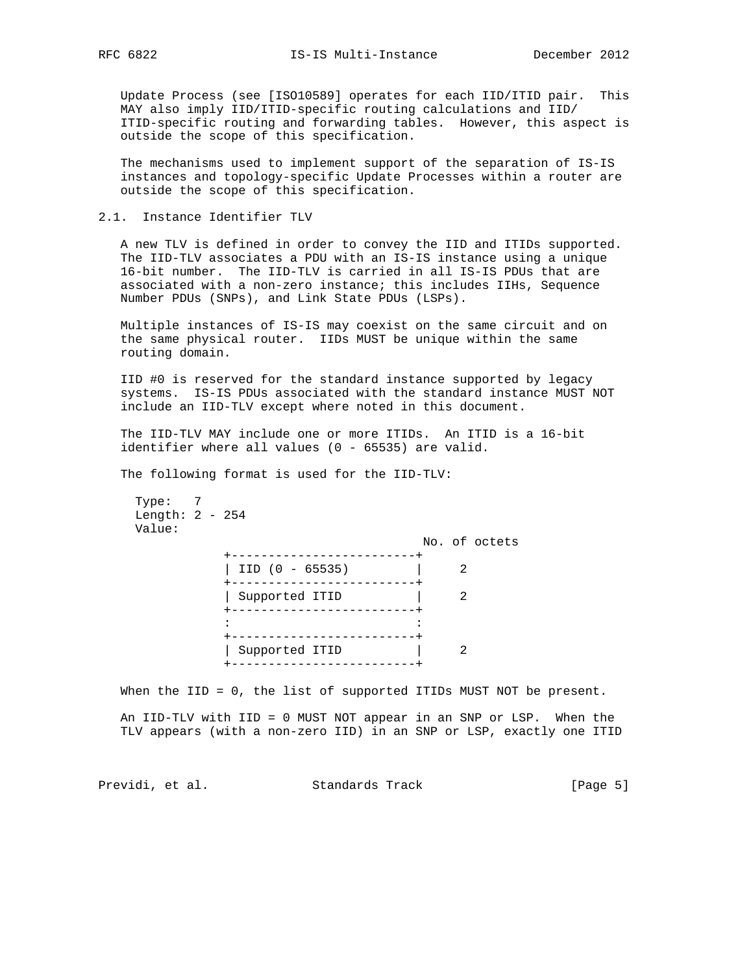Update Process (see [ISO10589] operates for each IID/ITID pair. This MAY also imply IID/ITID-specific routing calculations and IID/ ITID-specific routing and forwarding tables. However, this aspect is outside the scope of this specification.

 The mechanisms used to implement support of the separation of IS-IS instances and topology-specific Update Processes within a router are outside the scope of this specification.

## 2.1. Instance Identifier TLV

 A new TLV is defined in order to convey the IID and ITIDs supported. The IID-TLV associates a PDU with an IS-IS instance using a unique 16-bit number. The IID-TLV is carried in all IS-IS PDUs that are associated with a non-zero instance; this includes IIHs, Sequence Number PDUs (SNPs), and Link State PDUs (LSPs).

 Multiple instances of IS-IS may coexist on the same circuit and on the same physical router. IIDs MUST be unique within the same routing domain.

 IID #0 is reserved for the standard instance supported by legacy systems. IS-IS PDUs associated with the standard instance MUST NOT include an IID-TLV except where noted in this document.

 The IID-TLV MAY include one or more ITIDs. An ITID is a 16-bit identifier where all values (0 - 65535) are valid.

The following format is used for the IID-TLV:

 Type: 7 Length: 2 - 254 Value:

|                                 |  | No. of octets |
|---------------------------------|--|---------------|
| .<br>$IID (0 - 65535)$          |  |               |
| Supported ITID<br>- - - - - - - |  |               |
|                                 |  |               |
| Supported ITID                  |  |               |

When the IID = 0, the list of supported ITIDs MUST NOT be present.

 An IID-TLV with IID = 0 MUST NOT appear in an SNP or LSP. When the TLV appears (with a non-zero IID) in an SNP or LSP, exactly one ITID

Previdi, et al. Standards Track [Page 5]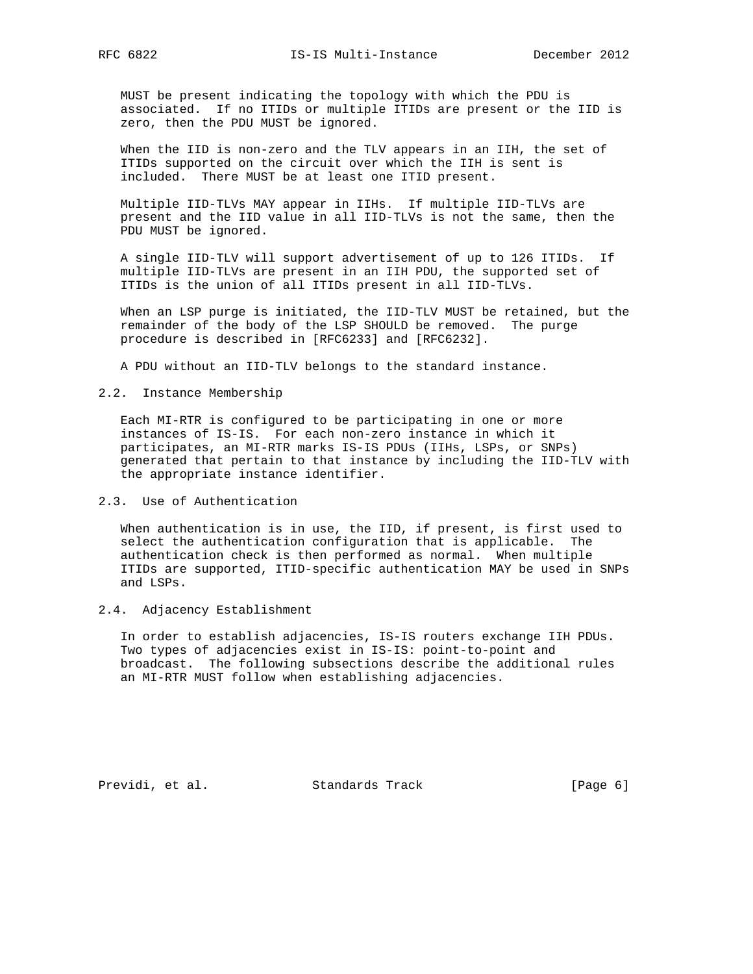MUST be present indicating the topology with which the PDU is associated. If no ITIDs or multiple ITIDs are present or the IID is zero, then the PDU MUST be ignored.

 When the IID is non-zero and the TLV appears in an IIH, the set of ITIDs supported on the circuit over which the IIH is sent is included. There MUST be at least one ITID present.

 Multiple IID-TLVs MAY appear in IIHs. If multiple IID-TLVs are present and the IID value in all IID-TLVs is not the same, then the PDU MUST be ignored.

 A single IID-TLV will support advertisement of up to 126 ITIDs. If multiple IID-TLVs are present in an IIH PDU, the supported set of ITIDs is the union of all ITIDs present in all IID-TLVs.

 When an LSP purge is initiated, the IID-TLV MUST be retained, but the remainder of the body of the LSP SHOULD be removed. The purge procedure is described in [RFC6233] and [RFC6232].

A PDU without an IID-TLV belongs to the standard instance.

## 2.2. Instance Membership

 Each MI-RTR is configured to be participating in one or more instances of IS-IS. For each non-zero instance in which it participates, an MI-RTR marks IS-IS PDUs (IIHs, LSPs, or SNPs) generated that pertain to that instance by including the IID-TLV with the appropriate instance identifier.

2.3. Use of Authentication

 When authentication is in use, the IID, if present, is first used to select the authentication configuration that is applicable. The authentication check is then performed as normal. When multiple ITIDs are supported, ITID-specific authentication MAY be used in SNPs and LSPs.

## 2.4. Adjacency Establishment

 In order to establish adjacencies, IS-IS routers exchange IIH PDUs. Two types of adjacencies exist in IS-IS: point-to-point and broadcast. The following subsections describe the additional rules an MI-RTR MUST follow when establishing adjacencies.

Previdi, et al. Standards Track [Page 6]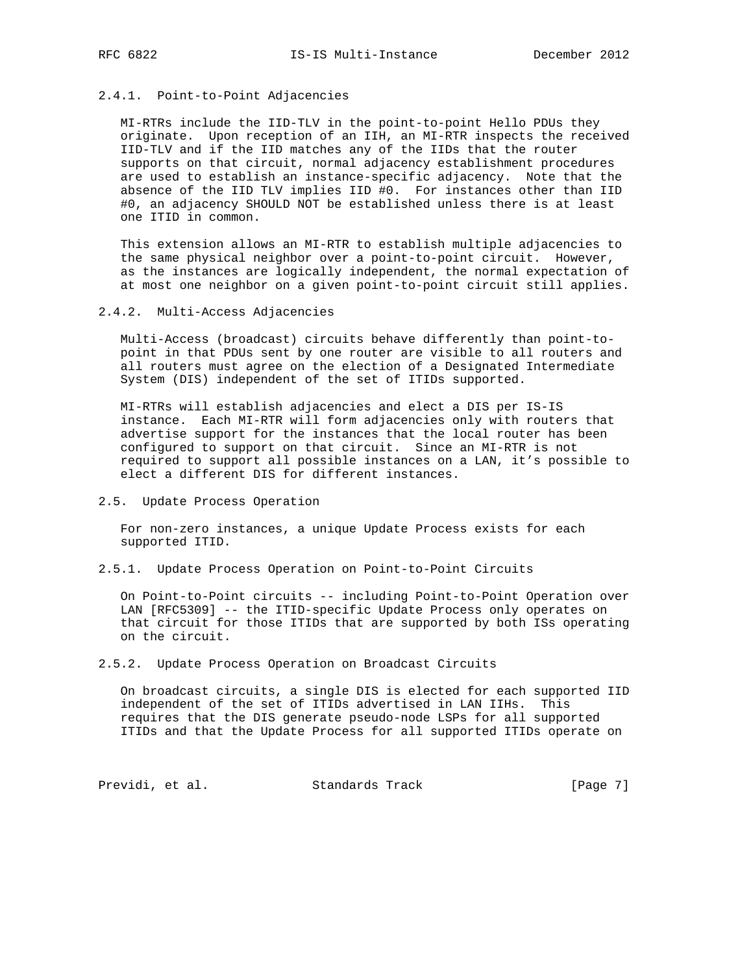# 2.4.1. Point-to-Point Adjacencies

 MI-RTRs include the IID-TLV in the point-to-point Hello PDUs they originate. Upon reception of an IIH, an MI-RTR inspects the received IID-TLV and if the IID matches any of the IIDs that the router supports on that circuit, normal adjacency establishment procedures are used to establish an instance-specific adjacency. Note that the absence of the IID TLV implies IID #0. For instances other than IID #0, an adjacency SHOULD NOT be established unless there is at least one ITID in common.

 This extension allows an MI-RTR to establish multiple adjacencies to the same physical neighbor over a point-to-point circuit. However, as the instances are logically independent, the normal expectation of at most one neighbor on a given point-to-point circuit still applies.

### 2.4.2. Multi-Access Adjacencies

 Multi-Access (broadcast) circuits behave differently than point-to point in that PDUs sent by one router are visible to all routers and all routers must agree on the election of a Designated Intermediate System (DIS) independent of the set of ITIDs supported.

 MI-RTRs will establish adjacencies and elect a DIS per IS-IS instance. Each MI-RTR will form adjacencies only with routers that advertise support for the instances that the local router has been configured to support on that circuit. Since an MI-RTR is not required to support all possible instances on a LAN, it's possible to elect a different DIS for different instances.

## 2.5. Update Process Operation

 For non-zero instances, a unique Update Process exists for each supported ITID.

2.5.1. Update Process Operation on Point-to-Point Circuits

 On Point-to-Point circuits -- including Point-to-Point Operation over LAN [RFC5309] -- the ITID-specific Update Process only operates on that circuit for those ITIDs that are supported by both ISs operating on the circuit.

### 2.5.2. Update Process Operation on Broadcast Circuits

 On broadcast circuits, a single DIS is elected for each supported IID independent of the set of ITIDs advertised in LAN IIHs. This requires that the DIS generate pseudo-node LSPs for all supported ITIDs and that the Update Process for all supported ITIDs operate on

Previdi, et al. Standards Track [Page 7]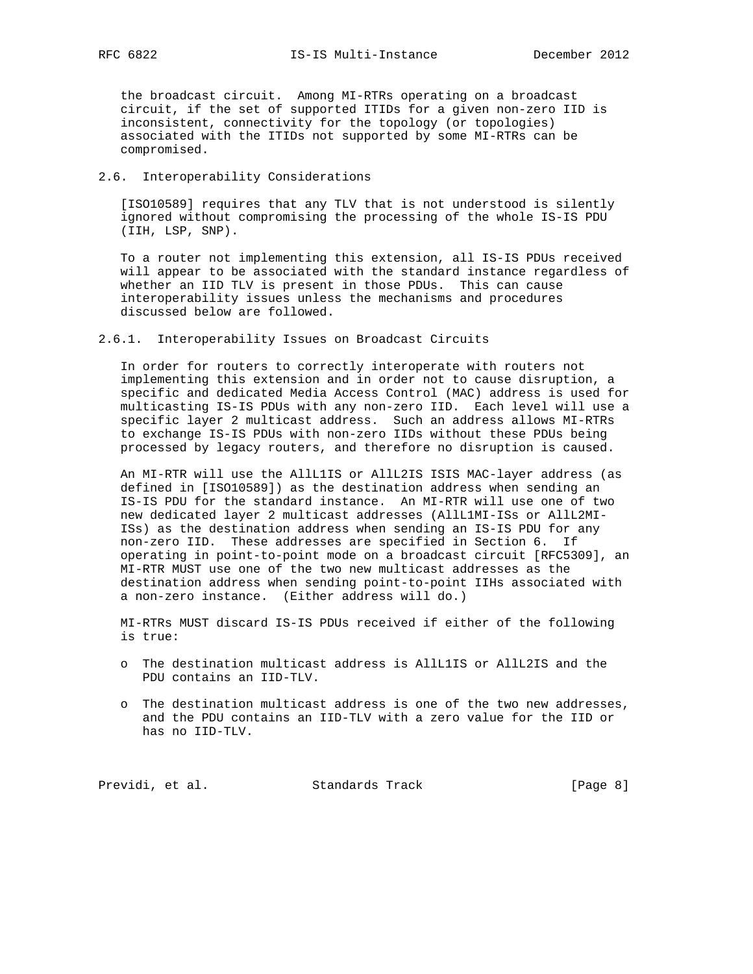the broadcast circuit. Among MI-RTRs operating on a broadcast circuit, if the set of supported ITIDs for a given non-zero IID is inconsistent, connectivity for the topology (or topologies) associated with the ITIDs not supported by some MI-RTRs can be compromised.

### 2.6. Interoperability Considerations

 [ISO10589] requires that any TLV that is not understood is silently ignored without compromising the processing of the whole IS-IS PDU (IIH, LSP, SNP).

 To a router not implementing this extension, all IS-IS PDUs received will appear to be associated with the standard instance regardless of whether an IID TLV is present in those PDUs. This can cause interoperability issues unless the mechanisms and procedures discussed below are followed.

2.6.1. Interoperability Issues on Broadcast Circuits

 In order for routers to correctly interoperate with routers not implementing this extension and in order not to cause disruption, a specific and dedicated Media Access Control (MAC) address is used for multicasting IS-IS PDUs with any non-zero IID. Each level will use a specific layer 2 multicast address. Such an address allows MI-RTRs to exchange IS-IS PDUs with non-zero IIDs without these PDUs being processed by legacy routers, and therefore no disruption is caused.

 An MI-RTR will use the AllL1IS or AllL2IS ISIS MAC-layer address (as defined in [ISO10589]) as the destination address when sending an IS-IS PDU for the standard instance. An MI-RTR will use one of two new dedicated layer 2 multicast addresses (AllL1MI-ISs or AllL2MI- ISs) as the destination address when sending an IS-IS PDU for any non-zero IID. These addresses are specified in Section 6. If operating in point-to-point mode on a broadcast circuit [RFC5309], an MI-RTR MUST use one of the two new multicast addresses as the destination address when sending point-to-point IIHs associated with a non-zero instance. (Either address will do.)

 MI-RTRs MUST discard IS-IS PDUs received if either of the following is true:

- o The destination multicast address is AllL1IS or AllL2IS and the PDU contains an IID-TLV.
- o The destination multicast address is one of the two new addresses, and the PDU contains an IID-TLV with a zero value for the IID or has no IID-TLV.

Previdi, et al. Standards Track [Page 8]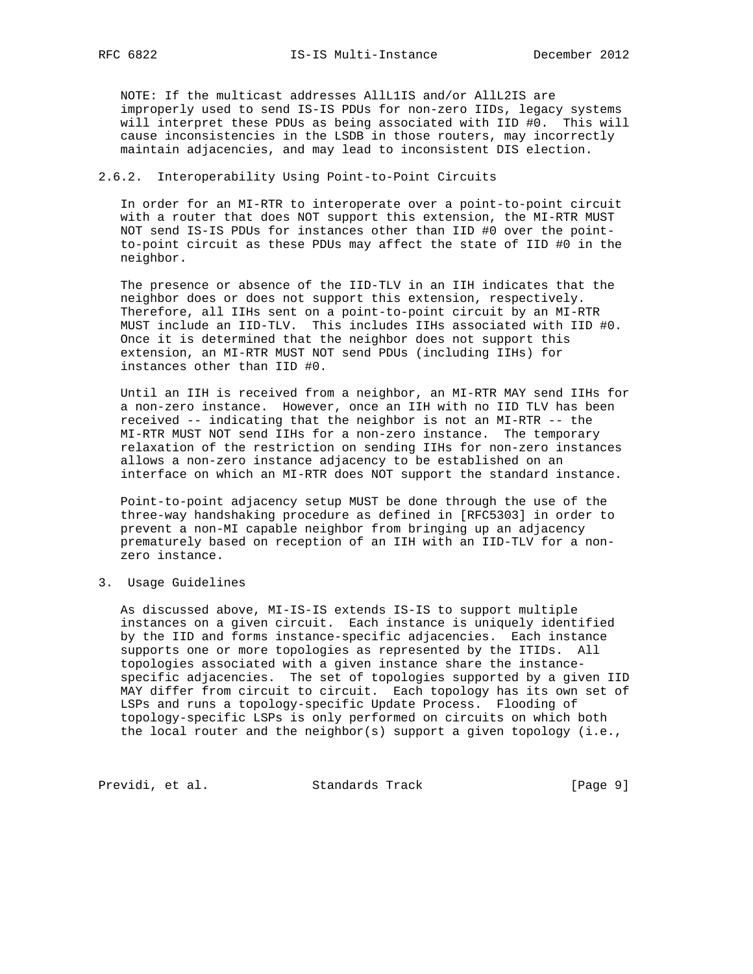NOTE: If the multicast addresses AllL1IS and/or AllL2IS are improperly used to send IS-IS PDUs for non-zero IIDs, legacy systems will interpret these PDUs as being associated with IID #0. This will cause inconsistencies in the LSDB in those routers, may incorrectly maintain adjacencies, and may lead to inconsistent DIS election.

## 2.6.2. Interoperability Using Point-to-Point Circuits

 In order for an MI-RTR to interoperate over a point-to-point circuit with a router that does NOT support this extension, the MI-RTR MUST NOT send IS-IS PDUs for instances other than IID #0 over the point to-point circuit as these PDUs may affect the state of IID #0 in the neighbor.

 The presence or absence of the IID-TLV in an IIH indicates that the neighbor does or does not support this extension, respectively. Therefore, all IIHs sent on a point-to-point circuit by an MI-RTR MUST include an IID-TLV. This includes IIHs associated with IID #0. Once it is determined that the neighbor does not support this extension, an MI-RTR MUST NOT send PDUs (including IIHs) for instances other than IID #0.

 Until an IIH is received from a neighbor, an MI-RTR MAY send IIHs for a non-zero instance. However, once an IIH with no IID TLV has been received -- indicating that the neighbor is not an MI-RTR -- the MI-RTR MUST NOT send IIHs for a non-zero instance. The temporary relaxation of the restriction on sending IIHs for non-zero instances allows a non-zero instance adjacency to be established on an interface on which an MI-RTR does NOT support the standard instance.

 Point-to-point adjacency setup MUST be done through the use of the three-way handshaking procedure as defined in [RFC5303] in order to prevent a non-MI capable neighbor from bringing up an adjacency prematurely based on reception of an IIH with an IID-TLV for a non zero instance.

3. Usage Guidelines

 As discussed above, MI-IS-IS extends IS-IS to support multiple instances on a given circuit. Each instance is uniquely identified by the IID and forms instance-specific adjacencies. Each instance supports one or more topologies as represented by the ITIDs. All topologies associated with a given instance share the instance specific adjacencies. The set of topologies supported by a given IID MAY differ from circuit to circuit. Each topology has its own set of LSPs and runs a topology-specific Update Process. Flooding of topology-specific LSPs is only performed on circuits on which both the local router and the neighbor(s) support a given topology (i.e.,

Previdi, et al. Standards Track [Page 9]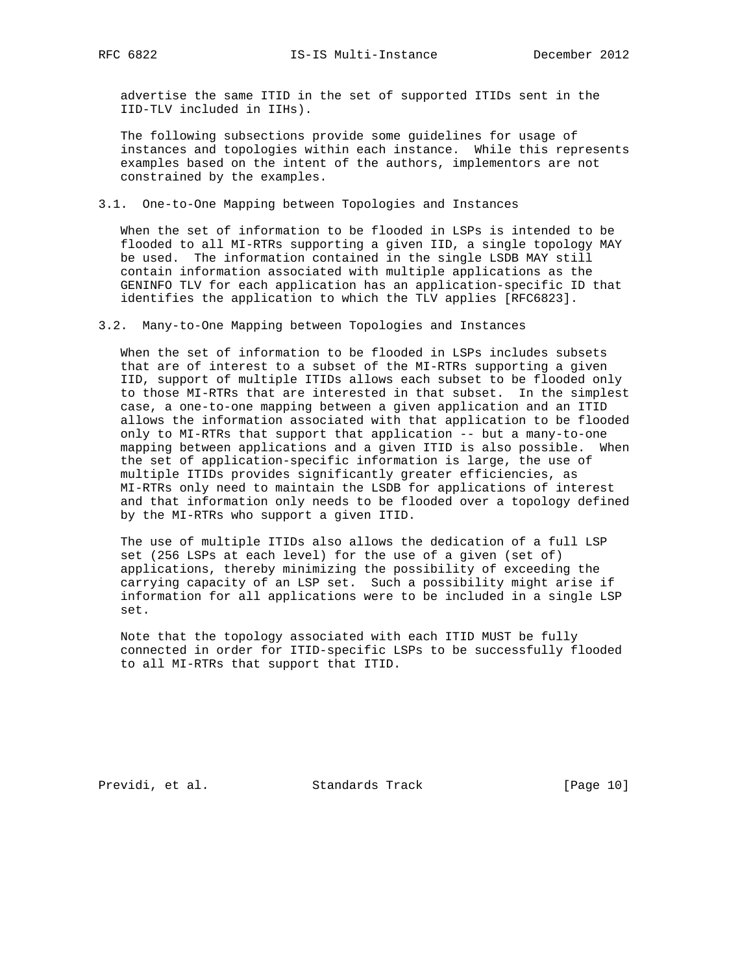advertise the same ITID in the set of supported ITIDs sent in the IID-TLV included in IIHs).

 The following subsections provide some guidelines for usage of instances and topologies within each instance. While this represents examples based on the intent of the authors, implementors are not constrained by the examples.

3.1. One-to-One Mapping between Topologies and Instances

 When the set of information to be flooded in LSPs is intended to be flooded to all MI-RTRs supporting a given IID, a single topology MAY be used. The information contained in the single LSDB MAY still contain information associated with multiple applications as the GENINFO TLV for each application has an application-specific ID that identifies the application to which the TLV applies [RFC6823].

3.2. Many-to-One Mapping between Topologies and Instances

 When the set of information to be flooded in LSPs includes subsets that are of interest to a subset of the MI-RTRs supporting a given IID, support of multiple ITIDs allows each subset to be flooded only to those MI-RTRs that are interested in that subset. In the simplest case, a one-to-one mapping between a given application and an ITID allows the information associated with that application to be flooded only to MI-RTRs that support that application -- but a many-to-one mapping between applications and a given ITID is also possible. When the set of application-specific information is large, the use of multiple ITIDs provides significantly greater efficiencies, as MI-RTRs only need to maintain the LSDB for applications of interest and that information only needs to be flooded over a topology defined by the MI-RTRs who support a given ITID.

 The use of multiple ITIDs also allows the dedication of a full LSP set (256 LSPs at each level) for the use of a given (set of) applications, thereby minimizing the possibility of exceeding the carrying capacity of an LSP set. Such a possibility might arise if information for all applications were to be included in a single LSP set.

 Note that the topology associated with each ITID MUST be fully connected in order for ITID-specific LSPs to be successfully flooded to all MI-RTRs that support that ITID.

Previdi, et al. Standards Track [Page 10]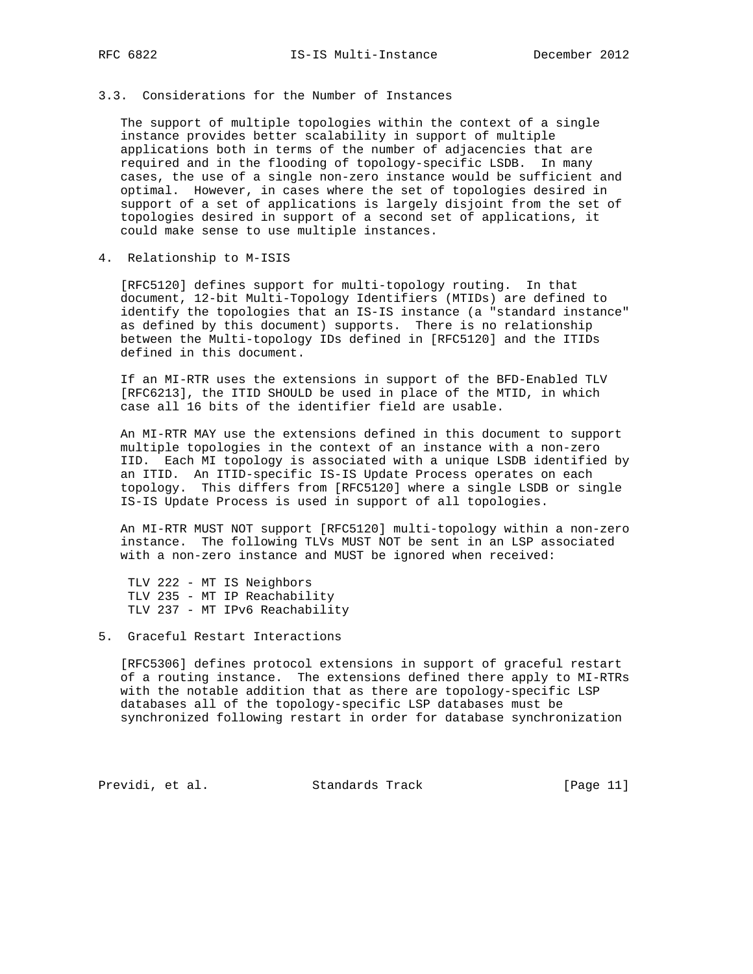# 3.3. Considerations for the Number of Instances

 The support of multiple topologies within the context of a single instance provides better scalability in support of multiple applications both in terms of the number of adjacencies that are required and in the flooding of topology-specific LSDB. In many cases, the use of a single non-zero instance would be sufficient and optimal. However, in cases where the set of topologies desired in support of a set of applications is largely disjoint from the set of topologies desired in support of a second set of applications, it could make sense to use multiple instances.

4. Relationship to M-ISIS

 [RFC5120] defines support for multi-topology routing. In that document, 12-bit Multi-Topology Identifiers (MTIDs) are defined to identify the topologies that an IS-IS instance (a "standard instance" as defined by this document) supports. There is no relationship between the Multi-topology IDs defined in [RFC5120] and the ITIDs defined in this document.

 If an MI-RTR uses the extensions in support of the BFD-Enabled TLV [RFC6213], the ITID SHOULD be used in place of the MTID, in which case all 16 bits of the identifier field are usable.

 An MI-RTR MAY use the extensions defined in this document to support multiple topologies in the context of an instance with a non-zero IID. Each MI topology is associated with a unique LSDB identified by an ITID. An ITID-specific IS-IS Update Process operates on each topology. This differs from [RFC5120] where a single LSDB or single IS-IS Update Process is used in support of all topologies.

 An MI-RTR MUST NOT support [RFC5120] multi-topology within a non-zero instance. The following TLVs MUST NOT be sent in an LSP associated with a non-zero instance and MUST be ignored when received:

 TLV 222 - MT IS Neighbors TLV 235 - MT IP Reachability TLV 237 - MT IPv6 Reachability

5. Graceful Restart Interactions

 [RFC5306] defines protocol extensions in support of graceful restart of a routing instance. The extensions defined there apply to MI-RTRs with the notable addition that as there are topology-specific LSP databases all of the topology-specific LSP databases must be synchronized following restart in order for database synchronization

Previdi, et al. Standards Track [Page 11]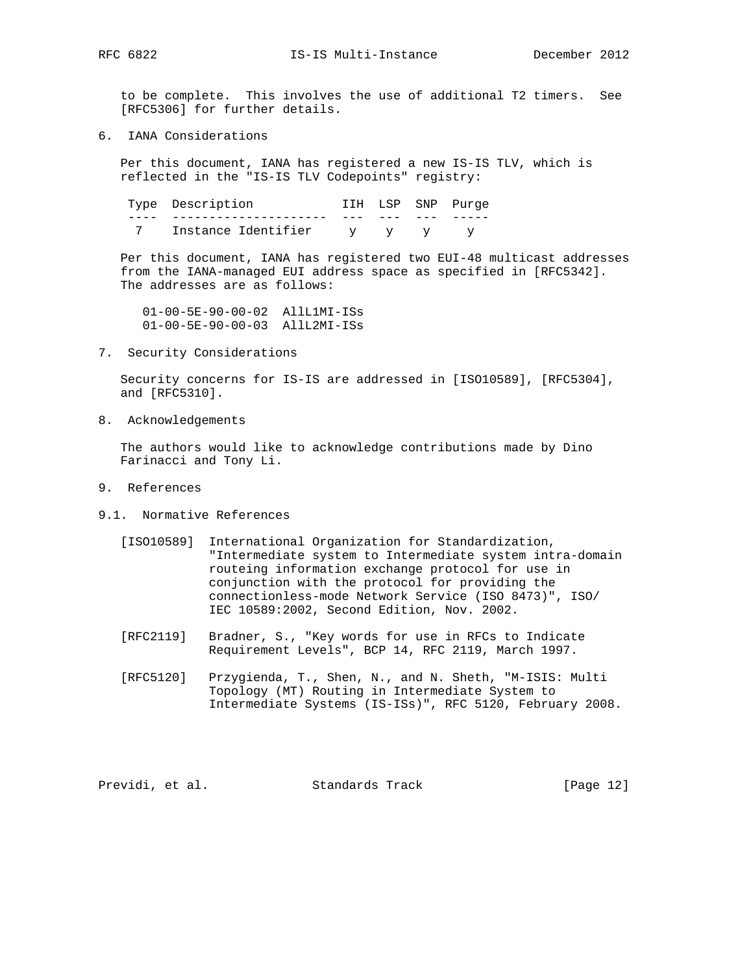RFC 6822 IS-IS Multi-Instance December 2012

 to be complete. This involves the use of additional T2 timers. See [RFC5306] for further details.

6. IANA Considerations

 Per this document, IANA has registered a new IS-IS TLV, which is reflected in the "IS-IS TLV Codepoints" registry:

| Type Description    |     | IIH LSP SNP Purge |
|---------------------|-----|-------------------|
|                     |     |                   |
| Instance Identifier | v v |                   |

 Per this document, IANA has registered two EUI-48 multicast addresses from the IANA-managed EUI address space as specified in [RFC5342]. The addresses are as follows:

 01-00-5E-90-00-02 AllL1MI-ISs 01-00-5E-90-00-03 AllL2MI-ISs

7. Security Considerations

 Security concerns for IS-IS are addressed in [ISO10589], [RFC5304], and [RFC5310].

8. Acknowledgements

 The authors would like to acknowledge contributions made by Dino Farinacci and Tony Li.

- 9. References
- 9.1. Normative References
	- [ISO10589] International Organization for Standardization, "Intermediate system to Intermediate system intra-domain routeing information exchange protocol for use in conjunction with the protocol for providing the connectionless-mode Network Service (ISO 8473)", ISO/ IEC 10589:2002, Second Edition, Nov. 2002.
	- [RFC2119] Bradner, S., "Key words for use in RFCs to Indicate Requirement Levels", BCP 14, RFC 2119, March 1997.
	- [RFC5120] Przygienda, T., Shen, N., and N. Sheth, "M-ISIS: Multi Topology (MT) Routing in Intermediate System to Intermediate Systems (IS-ISs)", RFC 5120, February 2008.

Previdi, et al. Standards Track [Page 12]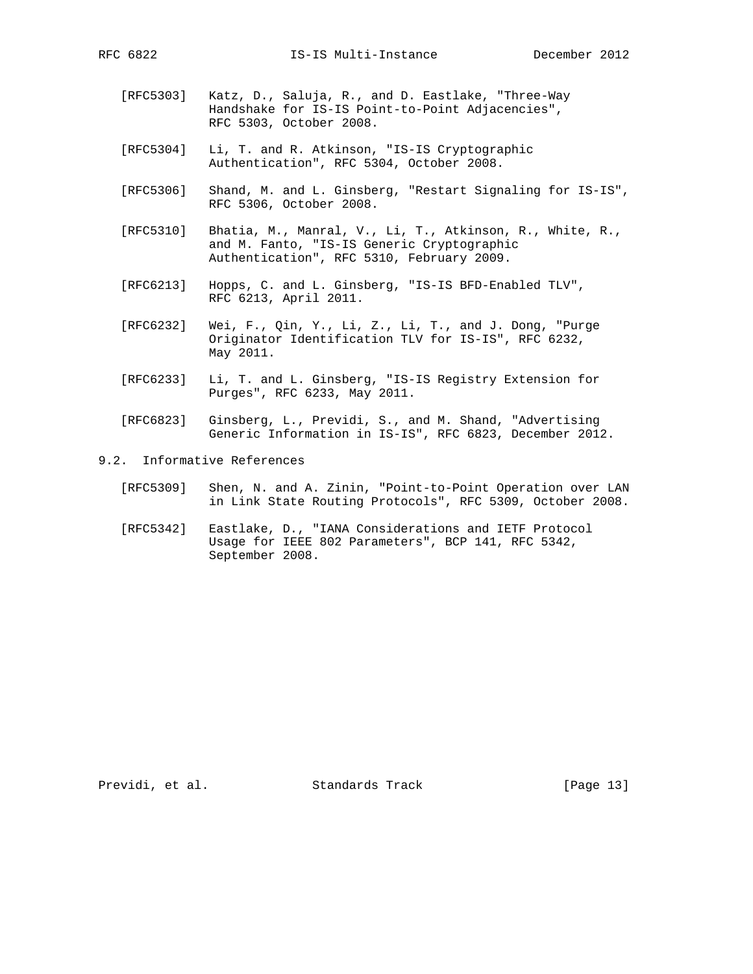- - [RFC5303] Katz, D., Saluja, R., and D. Eastlake, "Three-Way Handshake for IS-IS Point-to-Point Adjacencies", RFC 5303, October 2008.
	- [RFC5304] Li, T. and R. Atkinson, "IS-IS Cryptographic Authentication", RFC 5304, October 2008.
	- [RFC5306] Shand, M. and L. Ginsberg, "Restart Signaling for IS-IS", RFC 5306, October 2008.
	- [RFC5310] Bhatia, M., Manral, V., Li, T., Atkinson, R., White, R., and M. Fanto, "IS-IS Generic Cryptographic Authentication", RFC 5310, February 2009.
	- [RFC6213] Hopps, C. and L. Ginsberg, "IS-IS BFD-Enabled TLV", RFC 6213, April 2011.
	- [RFC6232] Wei, F., Qin, Y., Li, Z., Li, T., and J. Dong, "Purge Originator Identification TLV for IS-IS", RFC 6232, May 2011.
	- [RFC6233] Li, T. and L. Ginsberg, "IS-IS Registry Extension for Purges", RFC 6233, May 2011.
	- [RFC6823] Ginsberg, L., Previdi, S., and M. Shand, "Advertising Generic Information in IS-IS", RFC 6823, December 2012.
- 9.2. Informative References
	- [RFC5309] Shen, N. and A. Zinin, "Point-to-Point Operation over LAN in Link State Routing Protocols", RFC 5309, October 2008.
	- [RFC5342] Eastlake, D., "IANA Considerations and IETF Protocol Usage for IEEE 802 Parameters", BCP 141, RFC 5342, September 2008.

Previdi, et al. Standards Track [Page 13]